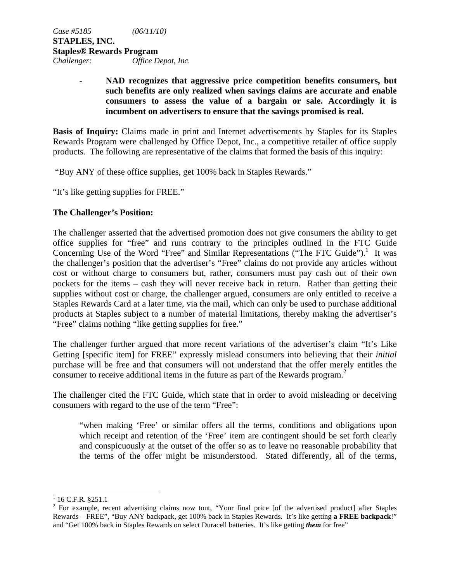# - **NAD recognizes that aggressive price competition benefits consumers, but such benefits are only realized when savings claims are accurate and enable consumers to assess the value of a bargain or sale. Accordingly it is incumbent on advertisers to ensure that the savings promised is real.**

**Basis of Inquiry:** Claims made in print and Internet advertisements by Staples for its Staples Rewards Program were challenged by Office Depot, Inc., a competitive retailer of office supply products. The following are representative of the claims that formed the basis of this inquiry:

"Buy ANY of these office supplies, get 100% back in Staples Rewards."

"It's like getting supplies for FREE."

## **The Challenger's Position:**

The challenger asserted that the advertised promotion does not give consumers the ability to get office supplies for "free" and runs contrary to the principles outlined in the FTC Guide Concerning Use of the Word "Free" and Similar Representations ("The FTC Guide").<sup>1</sup> It was the challenger's position that the advertiser's "Free" claims do not provide any articles without cost or without charge to consumers but, rather, consumers must pay cash out of their own pockets for the items – cash they will never receive back in return. Rather than getting their supplies without cost or charge, the challenger argued, consumers are only entitled to receive a Staples Rewards Card at a later time, via the mail, which can only be used to purchase additional products at Staples subject to a number of material limitations, thereby making the advertiser's "Free" claims nothing "like getting supplies for free."

The challenger further argued that more recent variations of the advertiser's claim "It's Like Getting [specific item] for FREE" expressly mislead consumers into believing that their *initial*  purchase will be free and that consumers will not understand that the offer merely entitles the consumer to receive additional items in the future as part of the Rewards program.<sup>2</sup>

The challenger cited the FTC Guide, which state that in order to avoid misleading or deceiving consumers with regard to the use of the term "Free":

"when making 'Free' or similar offers all the terms, conditions and obligations upon which receipt and retention of the 'Free' item are contingent should be set forth clearly and conspicuously at the outset of the offer so as to leave no reasonable probability that the terms of the offer might be misunderstood. Stated differently, all of the terms,

<u>.</u>

 $1$  16 C.F.R. §251.1

 $2^2$  For example, recent advertising claims now tout, "Your final price [of the advertised product] after Staples Rewards – FREE", "Buy ANY backpack, get 100% back in Staples Rewards. It's like getting **a FREE backpack**!" and "Get 100% back in Staples Rewards on select Duracell batteries. It's like getting *them* for free"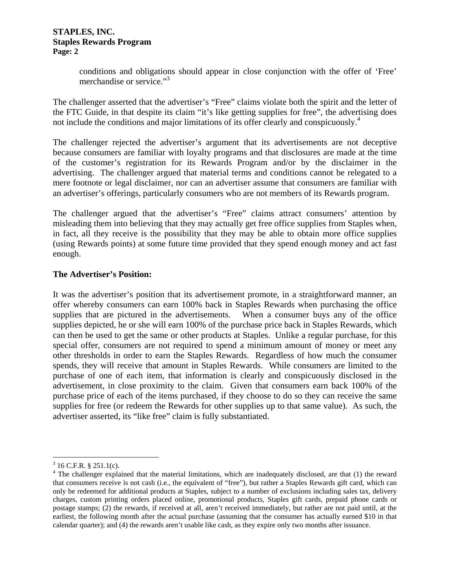conditions and obligations should appear in close conjunction with the offer of 'Free' merchandise or service."<sup>3</sup>

The challenger asserted that the advertiser's "Free" claims violate both the spirit and the letter of the FTC Guide, in that despite its claim "it's like getting supplies for free", the advertising does not include the conditions and major limitations of its offer clearly and conspicuously.<sup>4</sup>

The challenger rejected the advertiser's argument that its advertisements are not deceptive because consumers are familiar with loyalty programs and that disclosures are made at the time of the customer's registration for its Rewards Program and/or by the disclaimer in the advertising. The challenger argued that material terms and conditions cannot be relegated to a mere footnote or legal disclaimer, nor can an advertiser assume that consumers are familiar with an advertiser's offerings, particularly consumers who are not members of its Rewards program.

The challenger argued that the advertiser's "Free" claims attract consumers' attention by misleading them into believing that they may actually get free office supplies from Staples when, in fact, all they receive is the possibility that they may be able to obtain more office supplies (using Rewards points) at some future time provided that they spend enough money and act fast enough.

## **The Advertiser's Position:**

It was the advertiser's position that its advertisement promote, in a straightforward manner, an offer whereby consumers can earn 100% back in Staples Rewards when purchasing the office supplies that are pictured in the advertisements. When a consumer buys any of the office supplies depicted, he or she will earn 100% of the purchase price back in Staples Rewards, which can then be used to get the same or other products at Staples. Unlike a regular purchase, for this special offer, consumers are not required to spend a minimum amount of money or meet any other thresholds in order to earn the Staples Rewards. Regardless of how much the consumer spends, they will receive that amount in Staples Rewards. While consumers are limited to the purchase of one of each item, that information is clearly and conspicuously disclosed in the advertisement, in close proximity to the claim. Given that consumers earn back 100% of the purchase price of each of the items purchased, if they choose to do so they can receive the same supplies for free (or redeem the Rewards for other supplies up to that same value). As such, the advertiser asserted, its "like free" claim is fully substantiated.

 $\overline{a}$ 

 $3 \text{ 16 C.F.R. } $ \text{ 251.1(c).}$ 

 $4$  The challenger explained that the material limitations, which are inadequately disclosed, are that (1) the reward that consumers receive is not cash (i.e., the equivalent of "free"), but rather a Staples Rewards gift card, which can only be redeemed for additional products at Staples, subject to a number of exclusions including sales tax, delivery charges, custom printing orders placed online, promotional products, Staples gift cards, prepaid phone cards or postage stamps; (2) the rewards, if received at all, aren't received immediately, but rather are not paid until, at the earliest, the following month after the actual purchase (assuming that the consumer has actually earned \$10 in that calendar quarter); and (4) the rewards aren't usable like cash, as they expire only two months after issuance.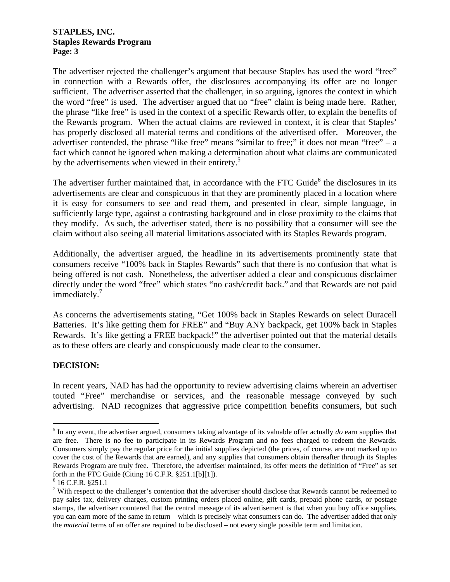The advertiser rejected the challenger's argument that because Staples has used the word "free" in connection with a Rewards offer, the disclosures accompanying its offer are no longer sufficient. The advertiser asserted that the challenger, in so arguing, ignores the context in which the word "free" is used. The advertiser argued that no "free" claim is being made here. Rather, the phrase "like free" is used in the context of a specific Rewards offer, to explain the benefits of the Rewards program. When the actual claims are reviewed in context, it is clear that Staples' has properly disclosed all material terms and conditions of the advertised offer. Moreover, the advertiser contended, the phrase "like free" means "similar to free;" it does not mean "free" – a fact which cannot be ignored when making a determination about what claims are communicated by the advertisements when viewed in their entirety.<sup>5</sup>

The advertiser further maintained that, in accordance with the FTC Guide<sup>6</sup> the disclosures in its advertisements are clear and conspicuous in that they are prominently placed in a location where it is easy for consumers to see and read them, and presented in clear, simple language, in sufficiently large type, against a contrasting background and in close proximity to the claims that they modify. As such, the advertiser stated, there is no possibility that a consumer will see the claim without also seeing all material limitations associated with its Staples Rewards program.

Additionally, the advertiser argued, the headline in its advertisements prominently state that consumers receive "100% back in Staples Rewards" such that there is no confusion that what is being offered is not cash. Nonetheless, the advertiser added a clear and conspicuous disclaimer directly under the word "free" which states "no cash/credit back." and that Rewards are not paid immediately.<sup>7</sup>

As concerns the advertisements stating, "Get 100% back in Staples Rewards on select Duracell Batteries. It's like getting them for FREE" and "Buy ANY backpack, get 100% back in Staples Rewards. It's like getting a FREE backpack!" the advertiser pointed out that the material details as to these offers are clearly and conspicuously made clear to the consumer.

# **DECISION:**

 $\overline{a}$ 

In recent years, NAD has had the opportunity to review advertising claims wherein an advertiser touted "Free" merchandise or services, and the reasonable message conveyed by such advertising. NAD recognizes that aggressive price competition benefits consumers, but such

<sup>&</sup>lt;sup>5</sup> In any event, the advertiser argued, consumers taking advantage of its valuable offer actually *do* earn supplies that are free. There is no fee to participate in its Rewards Program and no fees charged to redeem the Rewards. Consumers simply pay the regular price for the initial supplies depicted (the prices, of course, are not marked up to cover the cost of the Rewards that are earned), and any supplies that consumers obtain thereafter through its Staples Rewards Program are truly free. Therefore, the advertiser maintained, its offer meets the definition of "Free" as set forth in the FTC Guide (Citing 16 C.F.R. §251.1[b][1]).

 $6$  16 C.F.R. §251.1

 $7$  With respect to the challenger's contention that the advertiser should disclose that Rewards cannot be redeemed to pay sales tax, delivery charges, custom printing orders placed online, gift cards, prepaid phone cards, or postage stamps, the advertiser countered that the central message of its advertisement is that when you buy office supplies, you can earn more of the same in return – which is precisely what consumers can do. The advertiser added that only the *material* terms of an offer are required to be disclosed – not every single possible term and limitation.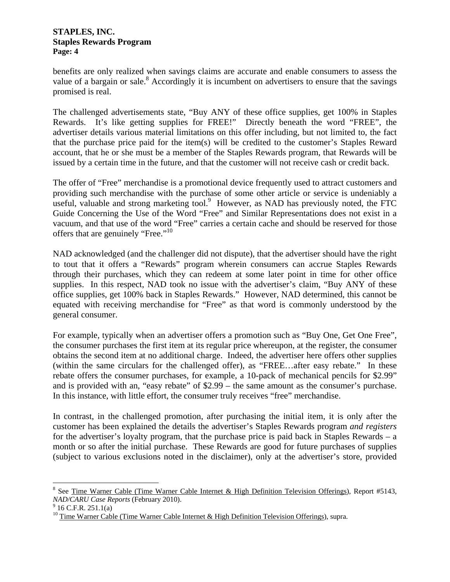benefits are only realized when savings claims are accurate and enable consumers to assess the value of a bargain or sale. $8$  Accordingly it is incumbent on advertisers to ensure that the savings promised is real.

The challenged advertisements state, "Buy ANY of these office supplies, get 100% in Staples Rewards. It's like getting supplies for FREE!" Directly beneath the word "FREE", the advertiser details various material limitations on this offer including, but not limited to, the fact that the purchase price paid for the item(s) will be credited to the customer's Staples Reward account, that he or she must be a member of the Staples Rewards program, that Rewards will be issued by a certain time in the future, and that the customer will not receive cash or credit back.

The offer of "Free" merchandise is a promotional device frequently used to attract customers and providing such merchandise with the purchase of some other article or service is undeniably a useful, valuable and strong marketing tool.<sup>9</sup> However, as NAD has previously noted, the FTC Guide Concerning the Use of the Word "Free" and Similar Representations does not exist in a vacuum, and that use of the word "Free" carries a certain cache and should be reserved for those offers that are genuinely "Free."10

NAD acknowledged (and the challenger did not dispute), that the advertiser should have the right to tout that it offers a "Rewards" program wherein consumers can accrue Staples Rewards through their purchases, which they can redeem at some later point in time for other office supplies. In this respect, NAD took no issue with the advertiser's claim, "Buy ANY of these office supplies, get 100% back in Staples Rewards." However, NAD determined, this cannot be equated with receiving merchandise for "Free" as that word is commonly understood by the general consumer.

For example, typically when an advertiser offers a promotion such as "Buy One, Get One Free", the consumer purchases the first item at its regular price whereupon, at the register, the consumer obtains the second item at no additional charge. Indeed, the advertiser here offers other supplies (within the same circulars for the challenged offer), as "FREE…after easy rebate." In these rebate offers the consumer purchases, for example, a 10-pack of mechanical pencils for \$2.99" and is provided with an, "easy rebate" of \$2.99 – the same amount as the consumer's purchase. In this instance, with little effort, the consumer truly receives "free" merchandise.

In contrast, in the challenged promotion, after purchasing the initial item, it is only after the customer has been explained the details the advertiser's Staples Rewards program *and registers*  for the advertiser's loyalty program, that the purchase price is paid back in Staples Rewards – a month or so after the initial purchase. These Rewards are good for future purchases of supplies (subject to various exclusions noted in the disclaimer), only at the advertiser's store, provided

 $\overline{a}$ 

<sup>&</sup>lt;sup>8</sup> See Time Warner Cable (Time Warner Cable Internet & High Definition Television Offerings), Report #5143, *NAD/CARU Case Reports* (February 2010).

 $9$  16 C.F.R. 251.1(a)

<sup>&</sup>lt;sup>10</sup> Time Warner Cable (Time Warner Cable Internet & High Definition Television Offerings), supra.